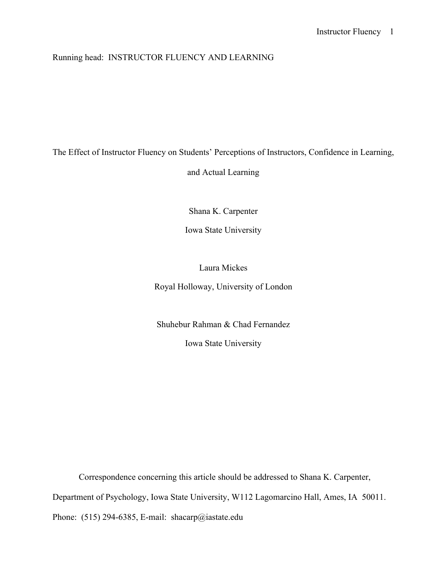## Running head: INSTRUCTOR FLUENCY AND LEARNING

## The Effect of Instructor Fluency on Students' Perceptions of Instructors, Confidence in Learning,

and Actual Learning

Shana K. Carpenter

Iowa State University

Laura Mickes

Royal Holloway, University of London

Shuhebur Rahman & Chad Fernandez

Iowa State University

Correspondence concerning this article should be addressed to Shana K. Carpenter, Department of Psychology, Iowa State University, W112 Lagomarcino Hall, Ames, IA 50011.

Phone: (515) 294-6385, E-mail: shacarp@iastate.edu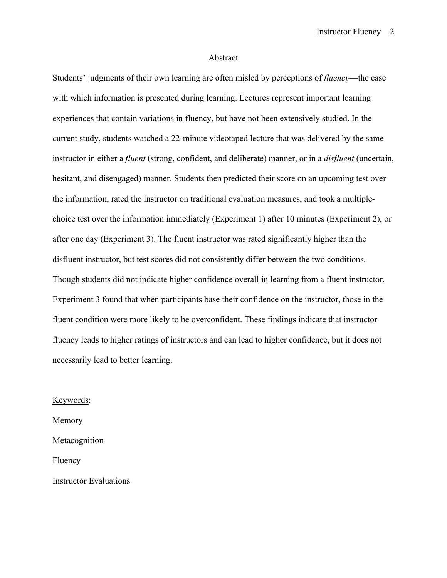#### Abstract

Students' judgments of their own learning are often misled by perceptions of *fluency*—the ease with which information is presented during learning. Lectures represent important learning experiences that contain variations in fluency, but have not been extensively studied. In the current study, students watched a 22-minute videotaped lecture that was delivered by the same instructor in either a *fluent* (strong, confident, and deliberate) manner, or in a *disfluent* (uncertain, hesitant, and disengaged) manner. Students then predicted their score on an upcoming test over the information, rated the instructor on traditional evaluation measures, and took a multiplechoice test over the information immediately (Experiment 1) after 10 minutes (Experiment 2), or after one day (Experiment 3). The fluent instructor was rated significantly higher than the disfluent instructor, but test scores did not consistently differ between the two conditions. Though students did not indicate higher confidence overall in learning from a fluent instructor, Experiment 3 found that when participants base their confidence on the instructor, those in the fluent condition were more likely to be overconfident. These findings indicate that instructor fluency leads to higher ratings of instructors and can lead to higher confidence, but it does not necessarily lead to better learning.

Keywords:

Memory Metacognition Fluency Instructor Evaluations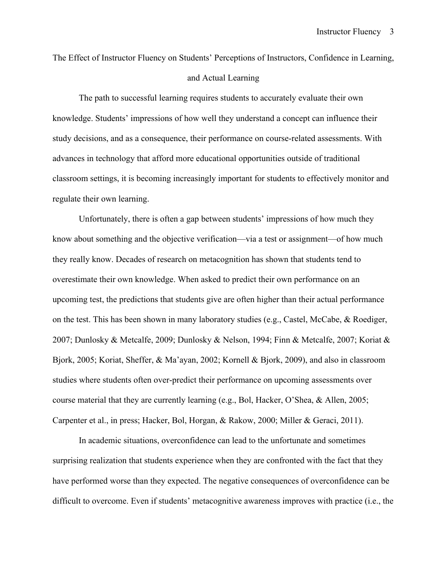The Effect of Instructor Fluency on Students' Perceptions of Instructors, Confidence in Learning, and Actual Learning

The path to successful learning requires students to accurately evaluate their own knowledge. Students' impressions of how well they understand a concept can influence their study decisions, and as a consequence, their performance on course-related assessments. With advances in technology that afford more educational opportunities outside of traditional classroom settings, it is becoming increasingly important for students to effectively monitor and regulate their own learning.

Unfortunately, there is often a gap between students' impressions of how much they know about something and the objective verification—via a test or assignment—of how much they really know. Decades of research on metacognition has shown that students tend to overestimate their own knowledge. When asked to predict their own performance on an upcoming test, the predictions that students give are often higher than their actual performance on the test. This has been shown in many laboratory studies (e.g., Castel, McCabe, & Roediger, 2007; Dunlosky & Metcalfe, 2009; Dunlosky & Nelson, 1994; Finn & Metcalfe, 2007; Koriat & Bjork, 2005; Koriat, Sheffer, & Ma'ayan, 2002; Kornell & Bjork, 2009), and also in classroom studies where students often over-predict their performance on upcoming assessments over course material that they are currently learning (e.g., Bol, Hacker, O'Shea, & Allen, 2005; Carpenter et al., in press; Hacker, Bol, Horgan, & Rakow, 2000; Miller & Geraci, 2011).

In academic situations, overconfidence can lead to the unfortunate and sometimes surprising realization that students experience when they are confronted with the fact that they have performed worse than they expected. The negative consequences of overconfidence can be difficult to overcome. Even if students' metacognitive awareness improves with practice (i.e., the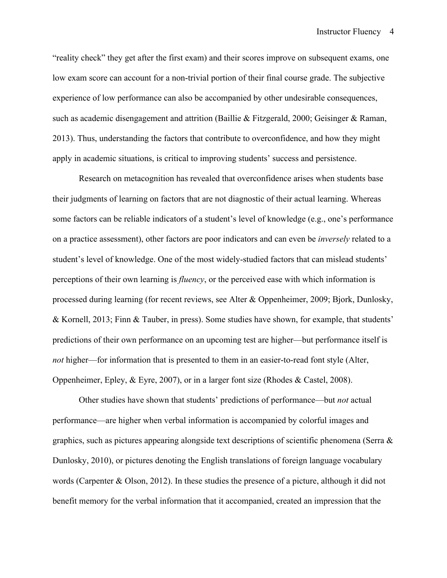"reality check" they get after the first exam) and their scores improve on subsequent exams, one low exam score can account for a non-trivial portion of their final course grade. The subjective experience of low performance can also be accompanied by other undesirable consequences, such as academic disengagement and attrition (Baillie & Fitzgerald, 2000; Geisinger & Raman, 2013). Thus, understanding the factors that contribute to overconfidence, and how they might apply in academic situations, is critical to improving students' success and persistence.

Research on metacognition has revealed that overconfidence arises when students base their judgments of learning on factors that are not diagnostic of their actual learning. Whereas some factors can be reliable indicators of a student's level of knowledge (e.g., one's performance on a practice assessment), other factors are poor indicators and can even be *inversely* related to a student's level of knowledge. One of the most widely-studied factors that can mislead students' perceptions of their own learning is *fluency*, or the perceived ease with which information is processed during learning (for recent reviews, see Alter & Oppenheimer, 2009; Bjork, Dunlosky, & Kornell, 2013; Finn & Tauber, in press). Some studies have shown, for example, that students' predictions of their own performance on an upcoming test are higher—but performance itself is *not* higher—for information that is presented to them in an easier-to-read font style (Alter, Oppenheimer, Epley, & Eyre, 2007), or in a larger font size (Rhodes & Castel, 2008).

Other studies have shown that students' predictions of performance—but *not* actual performance—are higher when verbal information is accompanied by colorful images and graphics, such as pictures appearing alongside text descriptions of scientific phenomena (Serra  $\&$ Dunlosky, 2010), or pictures denoting the English translations of foreign language vocabulary words (Carpenter & Olson, 2012). In these studies the presence of a picture, although it did not benefit memory for the verbal information that it accompanied, created an impression that the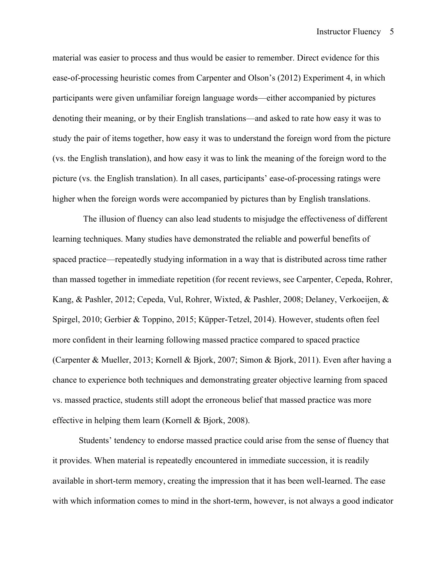material was easier to process and thus would be easier to remember. Direct evidence for this ease-of-processing heuristic comes from Carpenter and Olson's (2012) Experiment 4, in which participants were given unfamiliar foreign language words—either accompanied by pictures denoting their meaning, or by their English translations—and asked to rate how easy it was to study the pair of items together, how easy it was to understand the foreign word from the picture (vs. the English translation), and how easy it was to link the meaning of the foreign word to the picture (vs. the English translation). In all cases, participants' ease-of-processing ratings were higher when the foreign words were accompanied by pictures than by English translations.

 The illusion of fluency can also lead students to misjudge the effectiveness of different learning techniques. Many studies have demonstrated the reliable and powerful benefits of spaced practice—repeatedly studying information in a way that is distributed across time rather than massed together in immediate repetition (for recent reviews, see Carpenter, Cepeda, Rohrer, Kang, & Pashler, 2012; Cepeda, Vul, Rohrer, Wixted, & Pashler, 2008; Delaney, Verkoeijen, & Spirgel, 2010; Gerbier & Toppino, 2015; Küpper-Tetzel, 2014). However, students often feel more confident in their learning following massed practice compared to spaced practice (Carpenter & Mueller, 2013; Kornell & Bjork, 2007; Simon & Bjork, 2011). Even after having a chance to experience both techniques and demonstrating greater objective learning from spaced vs. massed practice, students still adopt the erroneous belief that massed practice was more effective in helping them learn (Kornell & Bjork, 2008).

Students' tendency to endorse massed practice could arise from the sense of fluency that it provides. When material is repeatedly encountered in immediate succession, it is readily available in short-term memory, creating the impression that it has been well-learned. The ease with which information comes to mind in the short-term, however, is not always a good indicator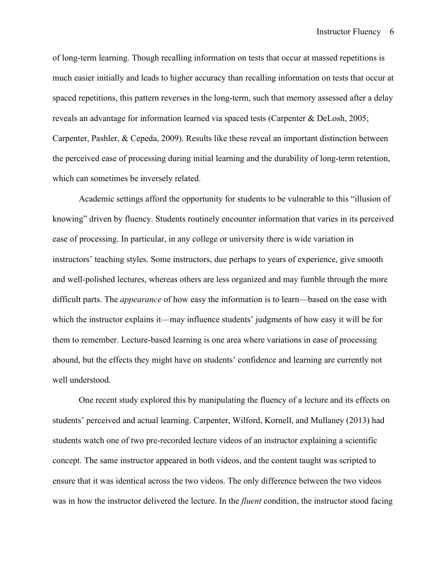of long-term learning. Though recalling information on tests that occur at massed repetitions is much easier initially and leads to higher accuracy than recalling information on tests that occur at spaced repetitions, this pattern reverses in the long-term, such that memory assessed after a delay reveals an advantage for information learned via spaced tests (Carpenter & DeLosh, 2005; Carpenter, Pashler, & Cepeda, 2009). Results like these reveal an important distinction between the perceived ease of processing during initial learning and the durability of long-term retention, which can sometimes be inversely related.

Academic settings afford the opportunity for students to be vulnerable to this "illusion of knowing" driven by fluency. Students routinely encounter information that varies in its perceived ease of processing. In particular, in any college or university there is wide variation in instructors' teaching styles. Some instructors, due perhaps to years of experience, give smooth and well-polished lectures, whereas others are less organized and may fumble through the more difficult parts. The *appearance* of how easy the information is to learn—based on the ease with which the instructor explains it—may influence students' judgments of how easy it will be for them to remember. Lecture-based learning is one area where variations in ease of processing abound, but the effects they might have on students' confidence and learning are currently not well understood.

One recent study explored this by manipulating the fluency of a lecture and its effects on students' perceived and actual learning. Carpenter, Wilford, Kornell, and Mullaney (2013) had students watch one of two pre-recorded lecture videos of an instructor explaining a scientific concept. The same instructor appeared in both videos, and the content taught was scripted to ensure that it was identical across the two videos. The only difference between the two videos was in how the instructor delivered the lecture. In the *fluent* condition, the instructor stood facing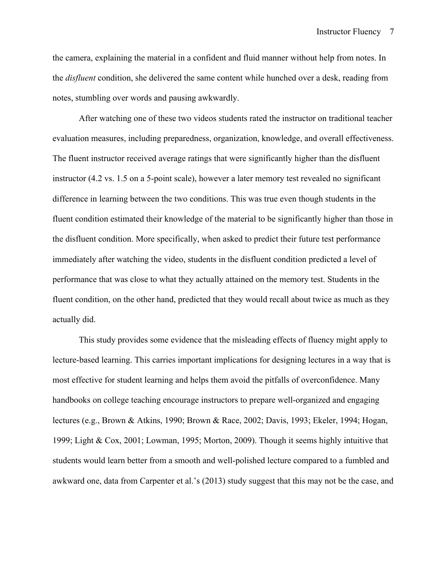the camera, explaining the material in a confident and fluid manner without help from notes. In the *disfluent* condition, she delivered the same content while hunched over a desk, reading from notes, stumbling over words and pausing awkwardly.

After watching one of these two videos students rated the instructor on traditional teacher evaluation measures, including preparedness, organization, knowledge, and overall effectiveness. The fluent instructor received average ratings that were significantly higher than the disfluent instructor (4.2 vs. 1.5 on a 5-point scale), however a later memory test revealed no significant difference in learning between the two conditions. This was true even though students in the fluent condition estimated their knowledge of the material to be significantly higher than those in the disfluent condition. More specifically, when asked to predict their future test performance immediately after watching the video, students in the disfluent condition predicted a level of performance that was close to what they actually attained on the memory test. Students in the fluent condition, on the other hand, predicted that they would recall about twice as much as they actually did.

This study provides some evidence that the misleading effects of fluency might apply to lecture-based learning. This carries important implications for designing lectures in a way that is most effective for student learning and helps them avoid the pitfalls of overconfidence. Many handbooks on college teaching encourage instructors to prepare well-organized and engaging lectures (e.g., Brown & Atkins, 1990; Brown & Race, 2002; Davis, 1993; Ekeler, 1994; Hogan, 1999; Light & Cox, 2001; Lowman, 1995; Morton, 2009). Though it seems highly intuitive that students would learn better from a smooth and well-polished lecture compared to a fumbled and awkward one, data from Carpenter et al.'s (2013) study suggest that this may not be the case, and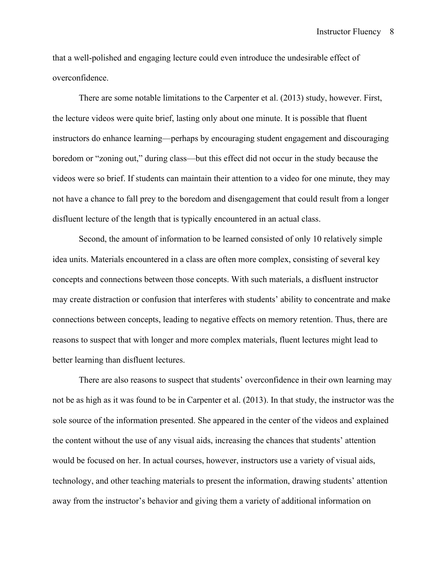that a well-polished and engaging lecture could even introduce the undesirable effect of overconfidence.

There are some notable limitations to the Carpenter et al. (2013) study, however. First, the lecture videos were quite brief, lasting only about one minute. It is possible that fluent instructors do enhance learning—perhaps by encouraging student engagement and discouraging boredom or "zoning out," during class—but this effect did not occur in the study because the videos were so brief. If students can maintain their attention to a video for one minute, they may not have a chance to fall prey to the boredom and disengagement that could result from a longer disfluent lecture of the length that is typically encountered in an actual class.

Second, the amount of information to be learned consisted of only 10 relatively simple idea units. Materials encountered in a class are often more complex, consisting of several key concepts and connections between those concepts. With such materials, a disfluent instructor may create distraction or confusion that interferes with students' ability to concentrate and make connections between concepts, leading to negative effects on memory retention. Thus, there are reasons to suspect that with longer and more complex materials, fluent lectures might lead to better learning than disfluent lectures.

There are also reasons to suspect that students' overconfidence in their own learning may not be as high as it was found to be in Carpenter et al. (2013). In that study, the instructor was the sole source of the information presented. She appeared in the center of the videos and explained the content without the use of any visual aids, increasing the chances that students' attention would be focused on her. In actual courses, however, instructors use a variety of visual aids, technology, and other teaching materials to present the information, drawing students' attention away from the instructor's behavior and giving them a variety of additional information on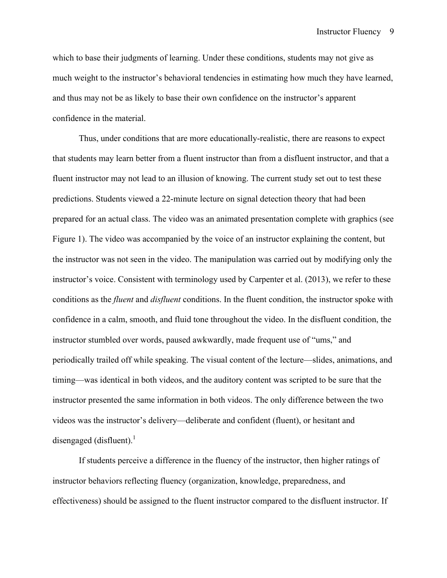which to base their judgments of learning. Under these conditions, students may not give as much weight to the instructor's behavioral tendencies in estimating how much they have learned, and thus may not be as likely to base their own confidence on the instructor's apparent confidence in the material.

Thus, under conditions that are more educationally-realistic, there are reasons to expect that students may learn better from a fluent instructor than from a disfluent instructor, and that a fluent instructor may not lead to an illusion of knowing. The current study set out to test these predictions. Students viewed a 22-minute lecture on signal detection theory that had been prepared for an actual class. The video was an animated presentation complete with graphics (see Figure 1). The video was accompanied by the voice of an instructor explaining the content, but the instructor was not seen in the video. The manipulation was carried out by modifying only the instructor's voice. Consistent with terminology used by Carpenter et al. (2013), we refer to these conditions as the *fluent* and *disfluent* conditions. In the fluent condition, the instructor spoke with confidence in a calm, smooth, and fluid tone throughout the video. In the disfluent condition, the instructor stumbled over words, paused awkwardly, made frequent use of "ums," and periodically trailed off while speaking. The visual content of the lecture—slides, animations, and timing—was identical in both videos, and the auditory content was scripted to be sure that the instructor presented the same information in both videos. The only difference between the two videos was the instructor's delivery—deliberate and confident (fluent), or hesitant and disengaged (disfluent). $\frac{1}{1}$ 

If students perceive a difference in the fluency of the instructor, then higher ratings of instructor behaviors reflecting fluency (organization, knowledge, preparedness, and effectiveness) should be assigned to the fluent instructor compared to the disfluent instructor. If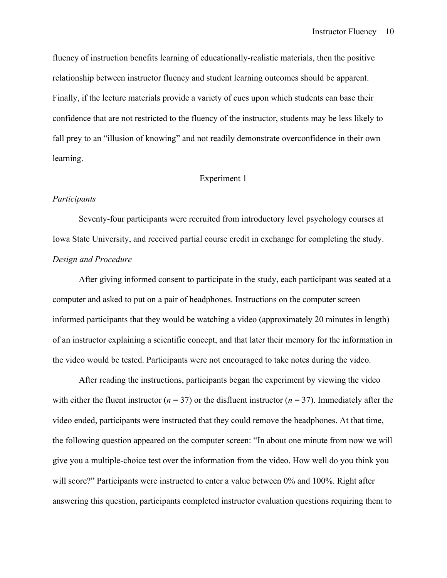fluency of instruction benefits learning of educationally-realistic materials, then the positive relationship between instructor fluency and student learning outcomes should be apparent. Finally, if the lecture materials provide a variety of cues upon which students can base their confidence that are not restricted to the fluency of the instructor, students may be less likely to fall prey to an "illusion of knowing" and not readily demonstrate overconfidence in their own learning.

#### Experiment 1

#### *Participants*

Seventy-four participants were recruited from introductory level psychology courses at Iowa State University, and received partial course credit in exchange for completing the study. *Design and Procedure*

After giving informed consent to participate in the study, each participant was seated at a computer and asked to put on a pair of headphones. Instructions on the computer screen informed participants that they would be watching a video (approximately 20 minutes in length) of an instructor explaining a scientific concept, and that later their memory for the information in the video would be tested. Participants were not encouraged to take notes during the video.

After reading the instructions, participants began the experiment by viewing the video with either the fluent instructor ( $n = 37$ ) or the disfluent instructor ( $n = 37$ ). Immediately after the video ended, participants were instructed that they could remove the headphones. At that time, the following question appeared on the computer screen: "In about one minute from now we will give you a multiple-choice test over the information from the video. How well do you think you will score?" Participants were instructed to enter a value between 0% and 100%. Right after answering this question, participants completed instructor evaluation questions requiring them to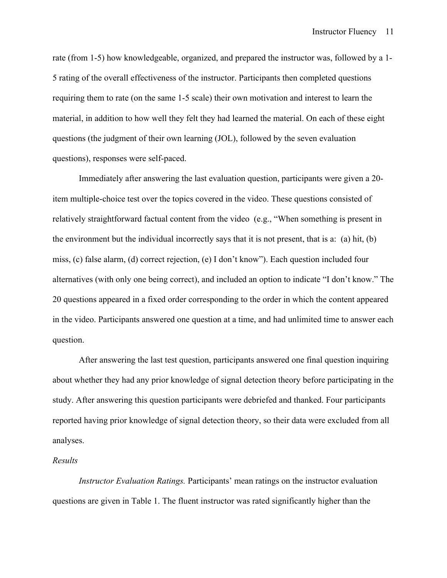rate (from 1-5) how knowledgeable, organized, and prepared the instructor was, followed by a 1- 5 rating of the overall effectiveness of the instructor. Participants then completed questions requiring them to rate (on the same 1-5 scale) their own motivation and interest to learn the material, in addition to how well they felt they had learned the material. On each of these eight questions (the judgment of their own learning (JOL), followed by the seven evaluation questions), responses were self-paced.

Immediately after answering the last evaluation question, participants were given a 20 item multiple-choice test over the topics covered in the video. These questions consisted of relatively straightforward factual content from the video (e.g., "When something is present in the environment but the individual incorrectly says that it is not present, that is a: (a) hit, (b) miss, (c) false alarm, (d) correct rejection, (e) I don't know"). Each question included four alternatives (with only one being correct), and included an option to indicate "I don't know." The 20 questions appeared in a fixed order corresponding to the order in which the content appeared in the video. Participants answered one question at a time, and had unlimited time to answer each question.

After answering the last test question, participants answered one final question inquiring about whether they had any prior knowledge of signal detection theory before participating in the study. After answering this question participants were debriefed and thanked. Four participants reported having prior knowledge of signal detection theory, so their data were excluded from all analyses.

#### *Results*

*Instructor Evaluation Ratings.* Participants' mean ratings on the instructor evaluation questions are given in Table 1. The fluent instructor was rated significantly higher than the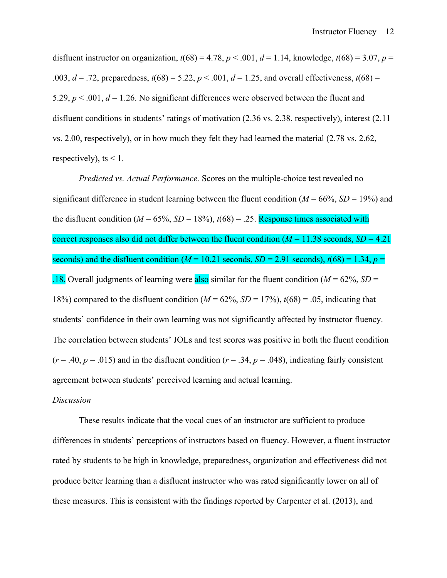disfluent instructor on organization,  $t(68) = 4.78$ ,  $p < .001$ ,  $d = 1.14$ , knowledge,  $t(68) = 3.07$ ,  $p =$ .003,  $d = .72$ , preparedness,  $t(68) = 5.22$ ,  $p < .001$ ,  $d = 1.25$ , and overall effectiveness,  $t(68) =$ 5.29,  $p < .001$ ,  $d = 1.26$ . No significant differences were observed between the fluent and disfluent conditions in students' ratings of motivation (2.36 vs. 2.38, respectively), interest (2.11 vs. 2.00, respectively), or in how much they felt they had learned the material (2.78 vs. 2.62, respectively), ts  $\leq 1$ .

*Predicted vs. Actual Performance.* Scores on the multiple-choice test revealed no significant difference in student learning between the fluent condition  $(M = 66\% , SD = 19\%)$  and the disfluent condition ( $M = 65\%$ ,  $SD = 18\%$ ),  $t(68) = .25$ . Response times associated with correct responses also did not differ between the fluent condition  $(M = 11.38$  seconds,  $SD = 4.21$ seconds) and the disfluent condition ( $M = 10.21$  seconds,  $SD = 2.91$  seconds),  $t(68) = 1.34$ ,  $p =$ .18. Overall judgments of learning were  $\frac{\text{also}}{\text{also}}$  similar for the fluent condition ( $M = 62\%$ , *SD* = 18%) compared to the disfluent condition  $(M = 62\%, SD = 17\%)$ ,  $t(68) = .05$ , indicating that students' confidence in their own learning was not significantly affected by instructor fluency. The correlation between students' JOLs and test scores was positive in both the fluent condition  $(r = .40, p = .015)$  and in the disfluent condition  $(r = .34, p = .048)$ , indicating fairly consistent agreement between students' perceived learning and actual learning.

#### *Discussion*

These results indicate that the vocal cues of an instructor are sufficient to produce differences in students' perceptions of instructors based on fluency. However, a fluent instructor rated by students to be high in knowledge, preparedness, organization and effectiveness did not produce better learning than a disfluent instructor who was rated significantly lower on all of these measures. This is consistent with the findings reported by Carpenter et al. (2013), and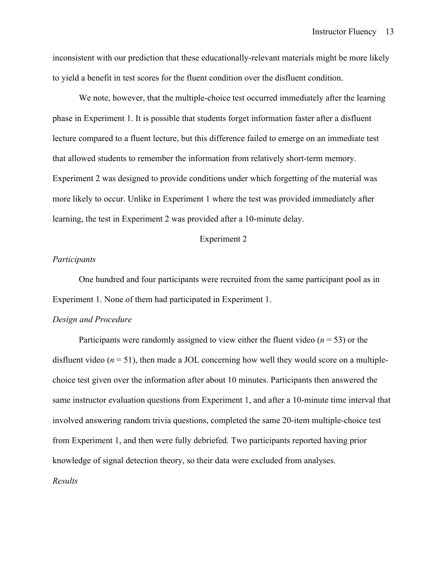inconsistent with our prediction that these educationally-relevant materials might be more likely to yield a benefit in test scores for the fluent condition over the disfluent condition.

We note, however, that the multiple-choice test occurred immediately after the learning phase in Experiment 1. It is possible that students forget information faster after a disfluent lecture compared to a fluent lecture, but this difference failed to emerge on an immediate test that allowed students to remember the information from relatively short-term memory. Experiment 2 was designed to provide conditions under which forgetting of the material was more likely to occur. Unlike in Experiment 1 where the test was provided immediately after learning, the test in Experiment 2 was provided after a 10-minute delay.

#### Experiment 2

#### *Participants*

One hundred and four participants were recruited from the same participant pool as in Experiment 1. None of them had participated in Experiment 1.

#### *Design and Procedure*

Participants were randomly assigned to view either the fluent video  $(n = 53)$  or the disfluent video  $(n = 51)$ , then made a JOL concerning how well they would score on a multiplechoice test given over the information after about 10 minutes. Participants then answered the same instructor evaluation questions from Experiment 1, and after a 10-minute time interval that involved answering random trivia questions, completed the same 20-item multiple-choice test from Experiment 1, and then were fully debriefed. Two participants reported having prior knowledge of signal detection theory, so their data were excluded from analyses. *Results*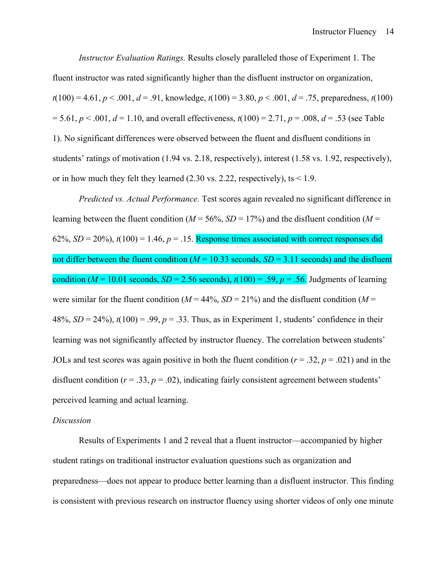*Instructor Evaluation Ratings.* Results closely paralleled those of Experiment 1. The fluent instructor was rated significantly higher than the disfluent instructor on organization,  $t(100) = 4.61, p < .001, d = .91$ , knowledge,  $t(100) = 3.80, p < .001, d = .75$ , preparedness,  $t(100)$  $= 5.61, p < .001, d = 1.10$ , and overall effectiveness,  $t(100) = 2.71, p = .008, d = .53$  (see Table 1). No significant differences were observed between the fluent and disfluent conditions in students' ratings of motivation (1.94 vs. 2.18, respectively), interest (1.58 vs. 1.92, respectively), or in how much they felt they learned  $(2.30 \text{ vs. } 2.22, \text{ respectively})$ , ts  $\leq 1.9$ .

*Predicted vs. Actual Performance.* Test scores again revealed no significant difference in learning between the fluent condition ( $M = 56\%$ ,  $SD = 17\%$ ) and the disfluent condition ( $M =$ 62%,  $SD = 20\%$ ,  $t(100) = 1.46$ ,  $p = .15$ . Response times associated with correct responses did not differ between the fluent condition ( $M = 10.33$  seconds,  $SD = 3.11$  seconds) and the disfluent condition ( $M = 10.01$  seconds,  $SD = 2.56$  seconds),  $t(100) = .59$ ,  $p = .56$ . Judgments of learning were similar for the fluent condition ( $M = 44\%$ ,  $SD = 21\%$ ) and the disfluent condition ( $M =$  $48\%, SD = 24\%$ ,  $t(100) = .99$ ,  $p = .33$ . Thus, as in Experiment 1, students' confidence in their learning was not significantly affected by instructor fluency. The correlation between students' JOLs and test scores was again positive in both the fluent condition ( $r = .32$ ,  $p = .021$ ) and in the disfluent condition ( $r = .33$ ,  $p = .02$ ), indicating fairly consistent agreement between students' perceived learning and actual learning.

#### *Discussion*

Results of Experiments 1 and 2 reveal that a fluent instructor—accompanied by higher student ratings on traditional instructor evaluation questions such as organization and preparedness—does not appear to produce better learning than a disfluent instructor. This finding is consistent with previous research on instructor fluency using shorter videos of only one minute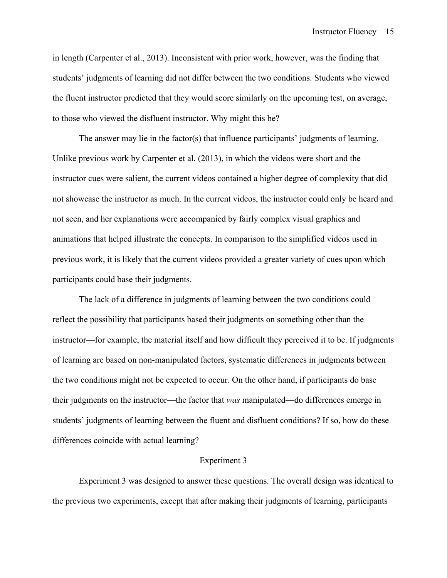in length (Carpenter et al., 2013). Inconsistent with prior work, however, was the finding that students' judgments of learning did not differ between the two conditions. Students who viewed the fluent instructor predicted that they would score similarly on the upcoming test, on average, to those who viewed the disfluent instructor. Why might this be?

The answer may lie in the factor(s) that influence participants' judgments of learning. Unlike previous work by Carpenter et al. (2013), in which the videos were short and the instructor cues were salient, the current videos contained a higher degree of complexity that did not showcase the instructor as much. In the current videos, the instructor could only be heard and not seen, and her explanations were accompanied by fairly complex visual graphics and animations that helped illustrate the concepts. In comparison to the simplified videos used in previous work, it is likely that the current videos provided a greater variety of cues upon which participants could base their judgments.

The lack of a difference in judgments of learning between the two conditions could reflect the possibility that participants based their judgments on something other than the instructor—for example, the material itself and how difficult they perceived it to be. If judgments of learning are based on non-manipulated factors, systematic differences in judgments between the two conditions might not be expected to occur. On the other hand, if participants do base their judgments on the instructor—the factor that *was* manipulated—do differences emerge in students' judgments of learning between the fluent and disfluent conditions? If so, how do these differences coincide with actual learning?

#### Experiment 3

Experiment 3 was designed to answer these questions. The overall design was identical to the previous two experiments, except that after making their judgments of learning, participants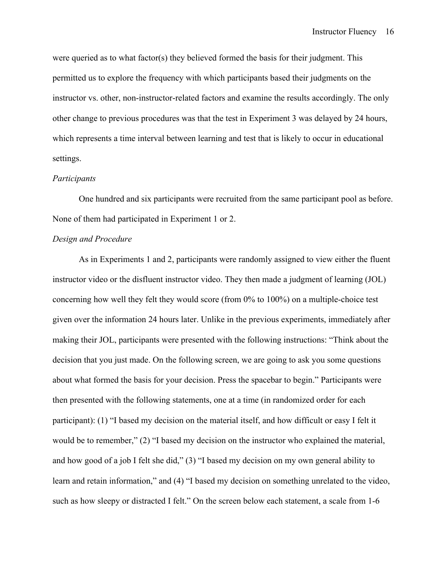were queried as to what factor(s) they believed formed the basis for their judgment. This permitted us to explore the frequency with which participants based their judgments on the instructor vs. other, non-instructor-related factors and examine the results accordingly. The only other change to previous procedures was that the test in Experiment 3 was delayed by 24 hours, which represents a time interval between learning and test that is likely to occur in educational settings.

#### *Participants*

One hundred and six participants were recruited from the same participant pool as before. None of them had participated in Experiment 1 or 2.

#### *Design and Procedure*

As in Experiments 1 and 2, participants were randomly assigned to view either the fluent instructor video or the disfluent instructor video. They then made a judgment of learning (JOL) concerning how well they felt they would score (from 0% to 100%) on a multiple-choice test given over the information 24 hours later. Unlike in the previous experiments, immediately after making their JOL, participants were presented with the following instructions: "Think about the decision that you just made. On the following screen, we are going to ask you some questions about what formed the basis for your decision. Press the spacebar to begin." Participants were then presented with the following statements, one at a time (in randomized order for each participant): (1) "I based my decision on the material itself, and how difficult or easy I felt it would be to remember," (2) "I based my decision on the instructor who explained the material, and how good of a job I felt she did," (3) "I based my decision on my own general ability to learn and retain information," and (4) "I based my decision on something unrelated to the video, such as how sleepy or distracted I felt." On the screen below each statement, a scale from 1-6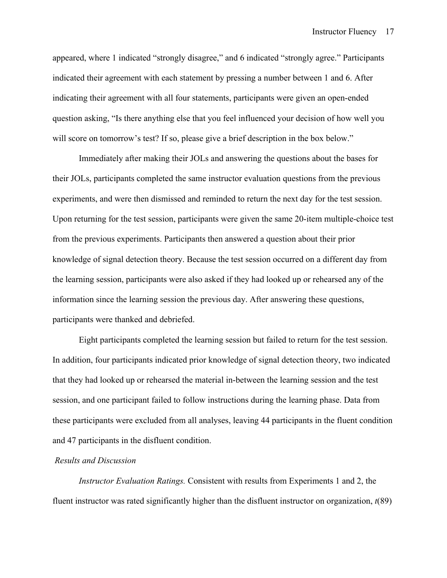appeared, where 1 indicated "strongly disagree," and 6 indicated "strongly agree." Participants indicated their agreement with each statement by pressing a number between 1 and 6. After indicating their agreement with all four statements, participants were given an open-ended question asking, "Is there anything else that you feel influenced your decision of how well you will score on tomorrow's test? If so, please give a brief description in the box below."

Immediately after making their JOLs and answering the questions about the bases for their JOLs, participants completed the same instructor evaluation questions from the previous experiments, and were then dismissed and reminded to return the next day for the test session. Upon returning for the test session, participants were given the same 20-item multiple-choice test from the previous experiments. Participants then answered a question about their prior knowledge of signal detection theory. Because the test session occurred on a different day from the learning session, participants were also asked if they had looked up or rehearsed any of the information since the learning session the previous day. After answering these questions, participants were thanked and debriefed.

Eight participants completed the learning session but failed to return for the test session. In addition, four participants indicated prior knowledge of signal detection theory, two indicated that they had looked up or rehearsed the material in-between the learning session and the test session, and one participant failed to follow instructions during the learning phase. Data from these participants were excluded from all analyses, leaving 44 participants in the fluent condition and 47 participants in the disfluent condition.

#### *Results and Discussion*

*Instructor Evaluation Ratings.* Consistent with results from Experiments 1 and 2, the fluent instructor was rated significantly higher than the disfluent instructor on organization, *t*(89)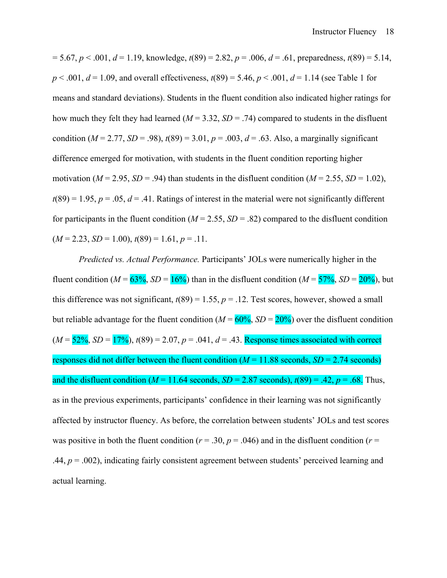$= 5.67, p < .001, d = 1.19$ , knowledge,  $t(89) = 2.82, p = .006, d = .61$ , preparedness,  $t(89) = 5.14$ ,  $p < .001$ ,  $d = 1.09$ , and overall effectiveness,  $t(89) = 5.46$ ,  $p < .001$ ,  $d = 1.14$  (see Table 1 for means and standard deviations). Students in the fluent condition also indicated higher ratings for how much they felt they had learned  $(M = 3.32, SD = .74)$  compared to students in the disfluent condition ( $M = 2.77$ ,  $SD = .98$ ),  $t(89) = 3.01$ ,  $p = .003$ ,  $d = .63$ . Also, a marginally significant difference emerged for motivation, with students in the fluent condition reporting higher motivation ( $M = 2.95$ ,  $SD = .94$ ) than students in the disfluent condition ( $M = 2.55$ ,  $SD = 1.02$ ),  $t(89) = 1.95$ ,  $p = .05$ ,  $d = .41$ . Ratings of interest in the material were not significantly different for participants in the fluent condition ( $M = 2.55$ ,  $SD = .82$ ) compared to the disfluent condition  $(M = 2.23, SD = 1.00), t(89) = 1.61, p = .11.$ 

*Predicted vs. Actual Performance.* Participants' JOLs were numerically higher in the fluent condition ( $M = 63\%$ ,  $SD = 16\%$ ) than in the disfluent condition ( $M = 57\%$ ,  $SD = 20\%$ ), but this difference was not significant,  $t(89) = 1.55$ ,  $p = .12$ . Test scores, however, showed a small but reliable advantage for the fluent condition ( $M = 60\%$ ,  $SD = 20\%$ ) over the disfluent condition  $(M = 52\%, SD = 17\%)$ ,  $t(89) = 2.07$ ,  $p = .041$ ,  $d = .43$ . Response times associated with correct responses did not differ between the fluent condition  $(M = 11.88$  seconds,  $SD = 2.74$  seconds) and the disfluent condition ( $M = 11.64$  seconds,  $SD = 2.87$  seconds),  $t(89) = .42$ ,  $p = .68$ . Thus, as in the previous experiments, participants' confidence in their learning was not significantly affected by instructor fluency. As before, the correlation between students' JOLs and test scores was positive in both the fluent condition ( $r = .30$ ,  $p = .046$ ) and in the disfluent condition ( $r =$ .44,  $p = .002$ ), indicating fairly consistent agreement between students' perceived learning and actual learning.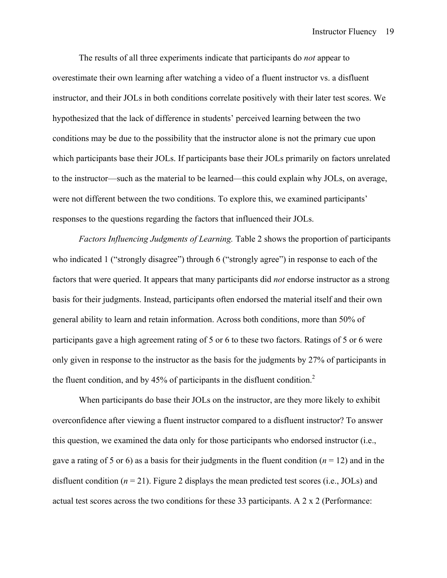The results of all three experiments indicate that participants do *not* appear to overestimate their own learning after watching a video of a fluent instructor vs. a disfluent instructor, and their JOLs in both conditions correlate positively with their later test scores. We hypothesized that the lack of difference in students' perceived learning between the two conditions may be due to the possibility that the instructor alone is not the primary cue upon which participants base their JOLs. If participants base their JOLs primarily on factors unrelated to the instructor—such as the material to be learned—this could explain why JOLs, on average, were not different between the two conditions. To explore this, we examined participants' responses to the questions regarding the factors that influenced their JOLs.

*Factors Influencing Judgments of Learning.* Table 2 shows the proportion of participants who indicated 1 ("strongly disagree") through 6 ("strongly agree") in response to each of the factors that were queried. It appears that many participants did *not* endorse instructor as a strong basis for their judgments. Instead, participants often endorsed the material itself and their own general ability to learn and retain information. Across both conditions, more than 50% of participants gave a high agreement rating of 5 or 6 to these two factors. Ratings of 5 or 6 were only given in response to the instructor as the basis for the judgments by 27% of participants in the fluent condition, and by 45% of participants in the disfluent condition.<sup>2</sup>

When participants do base their JOLs on the instructor, are they more likely to exhibit overconfidence after viewing a fluent instructor compared to a disfluent instructor? To answer this question, we examined the data only for those participants who endorsed instructor (i.e., gave a rating of 5 or 6) as a basis for their judgments in the fluent condition (*n* = 12) and in the disfluent condition  $(n = 21)$ . Figure 2 displays the mean predicted test scores (i.e., JOLs) and actual test scores across the two conditions for these 33 participants. A 2 x 2 (Performance: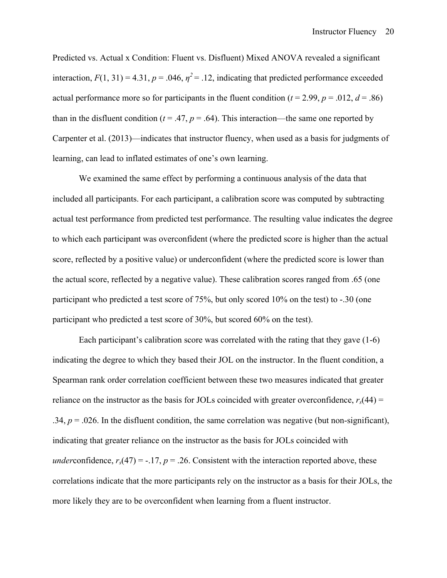Predicted vs. Actual x Condition: Fluent vs. Disfluent) Mixed ANOVA revealed a significant interaction,  $F(1, 31) = 4.31$ ,  $p = .046$ ,  $p^2 = .12$ , indicating that predicted performance exceeded actual performance more so for participants in the fluent condition ( $t = 2.99$ ,  $p = .012$ ,  $d = .86$ ) than in the disfluent condition ( $t = .47$ ,  $p = .64$ ). This interaction—the same one reported by Carpenter et al. (2013)—indicates that instructor fluency, when used as a basis for judgments of learning, can lead to inflated estimates of one's own learning.

We examined the same effect by performing a continuous analysis of the data that included all participants. For each participant, a calibration score was computed by subtracting actual test performance from predicted test performance. The resulting value indicates the degree to which each participant was overconfident (where the predicted score is higher than the actual score, reflected by a positive value) or underconfident (where the predicted score is lower than the actual score, reflected by a negative value). These calibration scores ranged from .65 (one participant who predicted a test score of 75%, but only scored 10% on the test) to -.30 (one participant who predicted a test score of 30%, but scored 60% on the test).

Each participant's calibration score was correlated with the rating that they gave (1-6) indicating the degree to which they based their JOL on the instructor. In the fluent condition, a Spearman rank order correlation coefficient between these two measures indicated that greater reliance on the instructor as the basis for JOLs coincided with greater overconfidence,  $r_s(44)$  = .34,  $p = 0.026$ . In the disfluent condition, the same correlation was negative (but non-significant), indicating that greater reliance on the instructor as the basis for JOLs coincided with *under*confidence,  $r_s(47) = -.17$ ,  $p = .26$ . Consistent with the interaction reported above, these correlations indicate that the more participants rely on the instructor as a basis for their JOLs, the more likely they are to be overconfident when learning from a fluent instructor.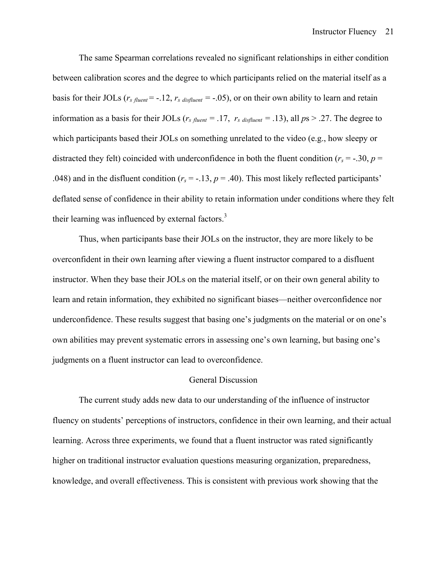The same Spearman correlations revealed no significant relationships in either condition between calibration scores and the degree to which participants relied on the material itself as a basis for their JOLs ( $r_s$   $f_{luent}$  = -.12,  $r_s$   $disfluent$  = -.05), or on their own ability to learn and retain information as a basis for their JOLs ( $r<sub>s</sub>$   $f<sub>luent</sub> = .17$ ,  $r<sub>s</sub>$   $d_{isfluent} = .13$ ), all  $p_s > .27$ . The degree to which participants based their JOLs on something unrelated to the video (e.g., how sleepy or distracted they felt) coincided with underconfidence in both the fluent condition ( $r_s = -.30$ ,  $p =$ .048) and in the disfluent condition ( $r_s = -.13$ ,  $p = .40$ ). This most likely reflected participants' deflated sense of confidence in their ability to retain information under conditions where they felt their learning was influenced by external factors.<sup>3</sup>

Thus, when participants base their JOLs on the instructor, they are more likely to be overconfident in their own learning after viewing a fluent instructor compared to a disfluent instructor. When they base their JOLs on the material itself, or on their own general ability to learn and retain information, they exhibited no significant biases—neither overconfidence nor underconfidence. These results suggest that basing one's judgments on the material or on one's own abilities may prevent systematic errors in assessing one's own learning, but basing one's judgments on a fluent instructor can lead to overconfidence.

#### General Discussion

The current study adds new data to our understanding of the influence of instructor fluency on students' perceptions of instructors, confidence in their own learning, and their actual learning. Across three experiments, we found that a fluent instructor was rated significantly higher on traditional instructor evaluation questions measuring organization, preparedness, knowledge, and overall effectiveness. This is consistent with previous work showing that the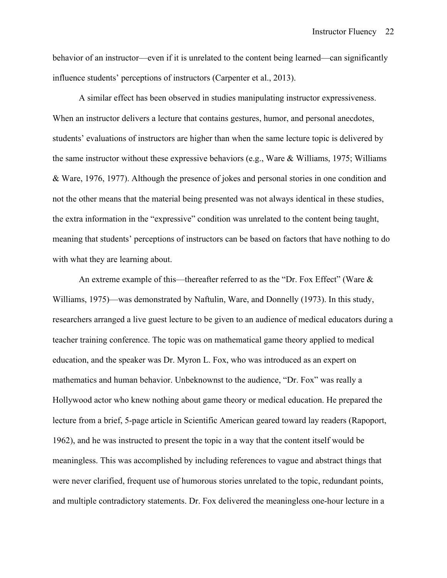behavior of an instructor—even if it is unrelated to the content being learned—can significantly influence students' perceptions of instructors (Carpenter et al., 2013).

A similar effect has been observed in studies manipulating instructor expressiveness. When an instructor delivers a lecture that contains gestures, humor, and personal anecdotes, students' evaluations of instructors are higher than when the same lecture topic is delivered by the same instructor without these expressive behaviors (e.g., Ware & Williams, 1975; Williams & Ware, 1976, 1977). Although the presence of jokes and personal stories in one condition and not the other means that the material being presented was not always identical in these studies, the extra information in the "expressive" condition was unrelated to the content being taught, meaning that students' perceptions of instructors can be based on factors that have nothing to do with what they are learning about.

An extreme example of this—thereafter referred to as the "Dr. Fox Effect" (Ware & Williams, 1975)—was demonstrated by Naftulin, Ware, and Donnelly (1973). In this study, researchers arranged a live guest lecture to be given to an audience of medical educators during a teacher training conference. The topic was on mathematical game theory applied to medical education, and the speaker was Dr. Myron L. Fox, who was introduced as an expert on mathematics and human behavior. Unbeknownst to the audience, "Dr. Fox" was really a Hollywood actor who knew nothing about game theory or medical education. He prepared the lecture from a brief, 5-page article in Scientific American geared toward lay readers (Rapoport, 1962), and he was instructed to present the topic in a way that the content itself would be meaningless. This was accomplished by including references to vague and abstract things that were never clarified, frequent use of humorous stories unrelated to the topic, redundant points, and multiple contradictory statements. Dr. Fox delivered the meaningless one-hour lecture in a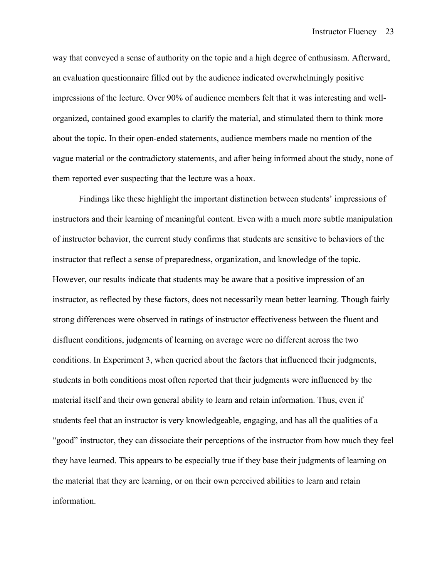way that conveyed a sense of authority on the topic and a high degree of enthusiasm. Afterward, an evaluation questionnaire filled out by the audience indicated overwhelmingly positive impressions of the lecture. Over 90% of audience members felt that it was interesting and wellorganized, contained good examples to clarify the material, and stimulated them to think more about the topic. In their open-ended statements, audience members made no mention of the vague material or the contradictory statements, and after being informed about the study, none of them reported ever suspecting that the lecture was a hoax.

Findings like these highlight the important distinction between students' impressions of instructors and their learning of meaningful content. Even with a much more subtle manipulation of instructor behavior, the current study confirms that students are sensitive to behaviors of the instructor that reflect a sense of preparedness, organization, and knowledge of the topic. However, our results indicate that students may be aware that a positive impression of an instructor, as reflected by these factors, does not necessarily mean better learning. Though fairly strong differences were observed in ratings of instructor effectiveness between the fluent and disfluent conditions, judgments of learning on average were no different across the two conditions. In Experiment 3, when queried about the factors that influenced their judgments, students in both conditions most often reported that their judgments were influenced by the material itself and their own general ability to learn and retain information. Thus, even if students feel that an instructor is very knowledgeable, engaging, and has all the qualities of a "good" instructor, they can dissociate their perceptions of the instructor from how much they feel they have learned. This appears to be especially true if they base their judgments of learning on the material that they are learning, or on their own perceived abilities to learn and retain information.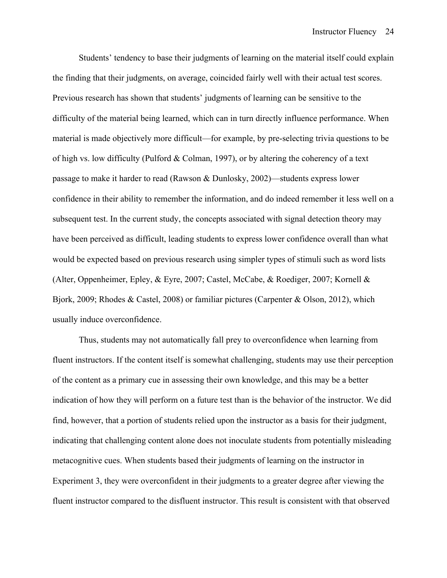Students' tendency to base their judgments of learning on the material itself could explain the finding that their judgments, on average, coincided fairly well with their actual test scores. Previous research has shown that students' judgments of learning can be sensitive to the difficulty of the material being learned, which can in turn directly influence performance. When material is made objectively more difficult—for example, by pre-selecting trivia questions to be of high vs. low difficulty (Pulford & Colman, 1997), or by altering the coherency of a text passage to make it harder to read (Rawson & Dunlosky, 2002)—students express lower confidence in their ability to remember the information, and do indeed remember it less well on a subsequent test. In the current study, the concepts associated with signal detection theory may have been perceived as difficult, leading students to express lower confidence overall than what would be expected based on previous research using simpler types of stimuli such as word lists (Alter, Oppenheimer, Epley, & Eyre, 2007; Castel, McCabe, & Roediger, 2007; Kornell & Bjork, 2009; Rhodes & Castel, 2008) or familiar pictures (Carpenter & Olson, 2012), which usually induce overconfidence.

Thus, students may not automatically fall prey to overconfidence when learning from fluent instructors. If the content itself is somewhat challenging, students may use their perception of the content as a primary cue in assessing their own knowledge, and this may be a better indication of how they will perform on a future test than is the behavior of the instructor. We did find, however, that a portion of students relied upon the instructor as a basis for their judgment, indicating that challenging content alone does not inoculate students from potentially misleading metacognitive cues. When students based their judgments of learning on the instructor in Experiment 3, they were overconfident in their judgments to a greater degree after viewing the fluent instructor compared to the disfluent instructor. This result is consistent with that observed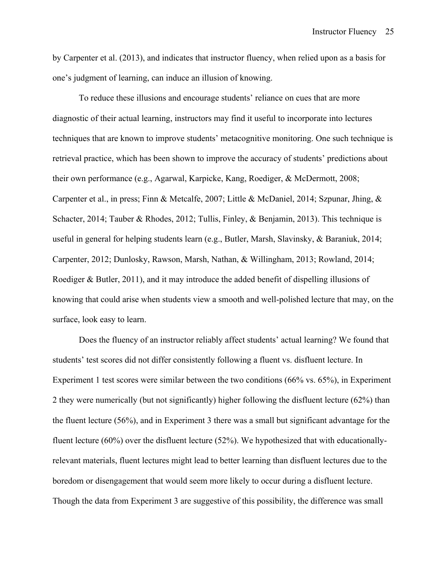by Carpenter et al. (2013), and indicates that instructor fluency, when relied upon as a basis for one's judgment of learning, can induce an illusion of knowing.

To reduce these illusions and encourage students' reliance on cues that are more diagnostic of their actual learning, instructors may find it useful to incorporate into lectures techniques that are known to improve students' metacognitive monitoring. One such technique is retrieval practice, which has been shown to improve the accuracy of students' predictions about their own performance (e.g., Agarwal, Karpicke, Kang, Roediger, & McDermott, 2008; Carpenter et al., in press; Finn & Metcalfe, 2007; Little & McDaniel, 2014; Szpunar, Jhing, & Schacter, 2014; Tauber & Rhodes, 2012; Tullis, Finley, & Benjamin, 2013). This technique is useful in general for helping students learn (e.g., Butler, Marsh, Slavinsky, & Baraniuk, 2014; Carpenter, 2012; Dunlosky, Rawson, Marsh, Nathan, & Willingham, 2013; Rowland, 2014; Roediger & Butler, 2011), and it may introduce the added benefit of dispelling illusions of knowing that could arise when students view a smooth and well-polished lecture that may, on the surface, look easy to learn.

Does the fluency of an instructor reliably affect students' actual learning? We found that students' test scores did not differ consistently following a fluent vs. disfluent lecture. In Experiment 1 test scores were similar between the two conditions (66% vs. 65%), in Experiment 2 they were numerically (but not significantly) higher following the disfluent lecture (62%) than the fluent lecture (56%), and in Experiment 3 there was a small but significant advantage for the fluent lecture (60%) over the disfluent lecture (52%). We hypothesized that with educationallyrelevant materials, fluent lectures might lead to better learning than disfluent lectures due to the boredom or disengagement that would seem more likely to occur during a disfluent lecture. Though the data from Experiment 3 are suggestive of this possibility, the difference was small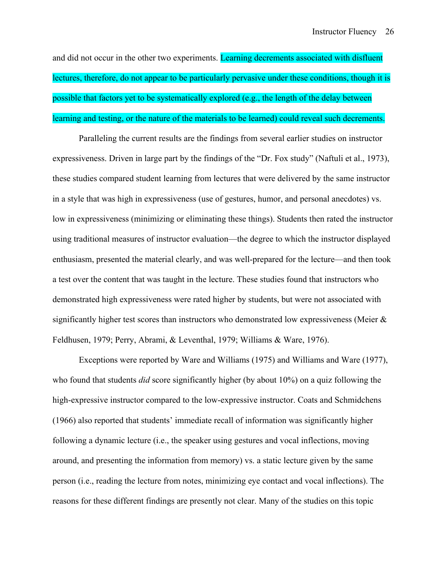and did not occur in the other two experiments. Learning decrements associated with disfluent lectures, therefore, do not appear to be particularly pervasive under these conditions, though it is possible that factors yet to be systematically explored (e.g., the length of the delay between learning and testing, or the nature of the materials to be learned) could reveal such decrements.

Paralleling the current results are the findings from several earlier studies on instructor expressiveness. Driven in large part by the findings of the "Dr. Fox study" (Naftuli et al., 1973), these studies compared student learning from lectures that were delivered by the same instructor in a style that was high in expressiveness (use of gestures, humor, and personal anecdotes) vs. low in expressiveness (minimizing or eliminating these things). Students then rated the instructor using traditional measures of instructor evaluation—the degree to which the instructor displayed enthusiasm, presented the material clearly, and was well-prepared for the lecture—and then took a test over the content that was taught in the lecture. These studies found that instructors who demonstrated high expressiveness were rated higher by students, but were not associated with significantly higher test scores than instructors who demonstrated low expressiveness (Meier  $\&$ Feldhusen, 1979; Perry, Abrami, & Leventhal, 1979; Williams & Ware, 1976).

Exceptions were reported by Ware and Williams (1975) and Williams and Ware (1977), who found that students *did* score significantly higher (by about 10%) on a quiz following the high-expressive instructor compared to the low-expressive instructor. Coats and Schmidchens (1966) also reported that students' immediate recall of information was significantly higher following a dynamic lecture (i.e., the speaker using gestures and vocal inflections, moving around, and presenting the information from memory) vs. a static lecture given by the same person (i.e., reading the lecture from notes, minimizing eye contact and vocal inflections). The reasons for these different findings are presently not clear. Many of the studies on this topic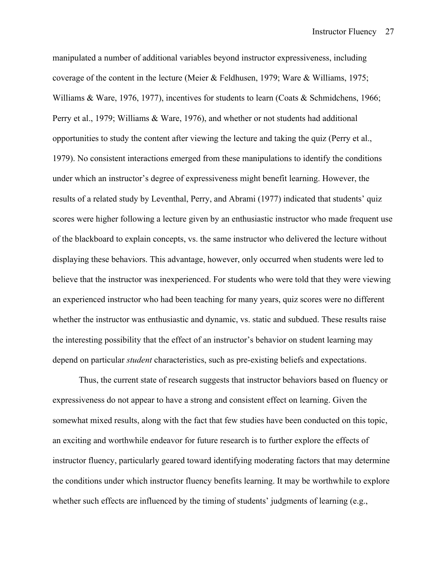manipulated a number of additional variables beyond instructor expressiveness, including coverage of the content in the lecture (Meier & Feldhusen, 1979; Ware & Williams, 1975; Williams & Ware, 1976, 1977), incentives for students to learn (Coats & Schmidchens, 1966; Perry et al., 1979; Williams & Ware, 1976), and whether or not students had additional opportunities to study the content after viewing the lecture and taking the quiz (Perry et al., 1979). No consistent interactions emerged from these manipulations to identify the conditions under which an instructor's degree of expressiveness might benefit learning. However, the results of a related study by Leventhal, Perry, and Abrami (1977) indicated that students' quiz scores were higher following a lecture given by an enthusiastic instructor who made frequent use of the blackboard to explain concepts, vs. the same instructor who delivered the lecture without displaying these behaviors. This advantage, however, only occurred when students were led to believe that the instructor was inexperienced. For students who were told that they were viewing an experienced instructor who had been teaching for many years, quiz scores were no different whether the instructor was enthusiastic and dynamic, vs. static and subdued. These results raise the interesting possibility that the effect of an instructor's behavior on student learning may depend on particular *student* characteristics, such as pre-existing beliefs and expectations.

Thus, the current state of research suggests that instructor behaviors based on fluency or expressiveness do not appear to have a strong and consistent effect on learning. Given the somewhat mixed results, along with the fact that few studies have been conducted on this topic, an exciting and worthwhile endeavor for future research is to further explore the effects of instructor fluency, particularly geared toward identifying moderating factors that may determine the conditions under which instructor fluency benefits learning. It may be worthwhile to explore whether such effects are influenced by the timing of students' judgments of learning (e.g.,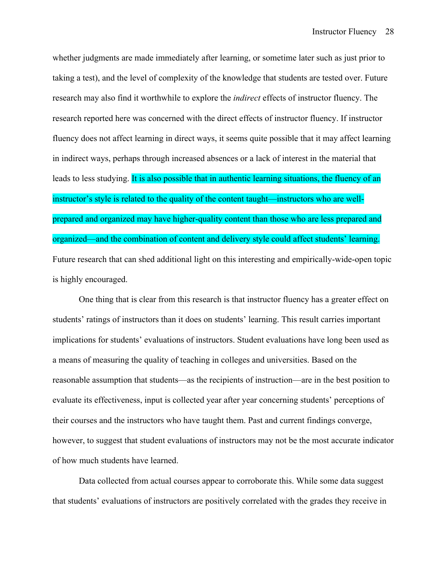whether judgments are made immediately after learning, or sometime later such as just prior to taking a test), and the level of complexity of the knowledge that students are tested over. Future research may also find it worthwhile to explore the *indirect* effects of instructor fluency. The research reported here was concerned with the direct effects of instructor fluency. If instructor fluency does not affect learning in direct ways, it seems quite possible that it may affect learning in indirect ways, perhaps through increased absences or a lack of interest in the material that leads to less studying. It is also possible that in authentic learning situations, the fluency of an instructor's style is related to the quality of the content taught—instructors who are wellprepared and organized may have higher-quality content than those who are less prepared and organized—and the combination of content and delivery style could affect students' learning. Future research that can shed additional light on this interesting and empirically-wide-open topic is highly encouraged.

One thing that is clear from this research is that instructor fluency has a greater effect on students' ratings of instructors than it does on students' learning. This result carries important implications for students' evaluations of instructors. Student evaluations have long been used as a means of measuring the quality of teaching in colleges and universities. Based on the reasonable assumption that students—as the recipients of instruction—are in the best position to evaluate its effectiveness, input is collected year after year concerning students' perceptions of their courses and the instructors who have taught them. Past and current findings converge, however, to suggest that student evaluations of instructors may not be the most accurate indicator of how much students have learned.

Data collected from actual courses appear to corroborate this. While some data suggest that students' evaluations of instructors are positively correlated with the grades they receive in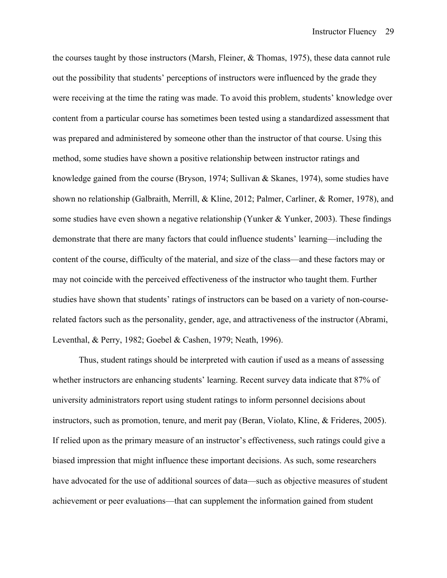the courses taught by those instructors (Marsh, Fleiner, & Thomas, 1975), these data cannot rule out the possibility that students' perceptions of instructors were influenced by the grade they were receiving at the time the rating was made. To avoid this problem, students' knowledge over content from a particular course has sometimes been tested using a standardized assessment that was prepared and administered by someone other than the instructor of that course. Using this method, some studies have shown a positive relationship between instructor ratings and knowledge gained from the course (Bryson, 1974; Sullivan & Skanes, 1974), some studies have shown no relationship (Galbraith, Merrill, & Kline, 2012; Palmer, Carliner, & Romer, 1978), and some studies have even shown a negative relationship (Yunker & Yunker, 2003). These findings demonstrate that there are many factors that could influence students' learning—including the content of the course, difficulty of the material, and size of the class—and these factors may or may not coincide with the perceived effectiveness of the instructor who taught them. Further studies have shown that students' ratings of instructors can be based on a variety of non-courserelated factors such as the personality, gender, age, and attractiveness of the instructor (Abrami, Leventhal, & Perry, 1982; Goebel & Cashen, 1979; Neath, 1996).

Thus, student ratings should be interpreted with caution if used as a means of assessing whether instructors are enhancing students' learning. Recent survey data indicate that 87% of university administrators report using student ratings to inform personnel decisions about instructors, such as promotion, tenure, and merit pay (Beran, Violato, Kline, & Frideres, 2005). If relied upon as the primary measure of an instructor's effectiveness, such ratings could give a biased impression that might influence these important decisions. As such, some researchers have advocated for the use of additional sources of data—such as objective measures of student achievement or peer evaluations—that can supplement the information gained from student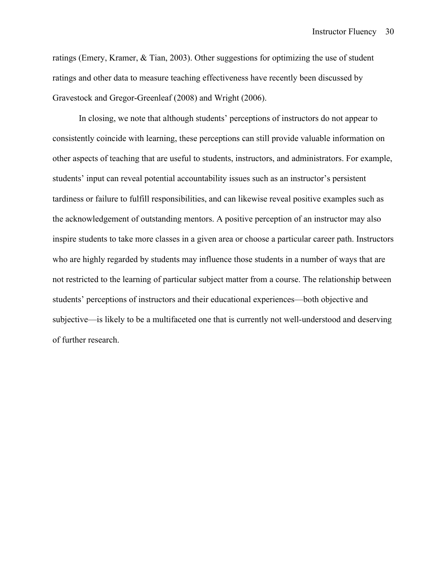ratings (Emery, Kramer, & Tian, 2003). Other suggestions for optimizing the use of student ratings and other data to measure teaching effectiveness have recently been discussed by Gravestock and Gregor-Greenleaf (2008) and Wright (2006).

In closing, we note that although students' perceptions of instructors do not appear to consistently coincide with learning, these perceptions can still provide valuable information on other aspects of teaching that are useful to students, instructors, and administrators. For example, students' input can reveal potential accountability issues such as an instructor's persistent tardiness or failure to fulfill responsibilities, and can likewise reveal positive examples such as the acknowledgement of outstanding mentors. A positive perception of an instructor may also inspire students to take more classes in a given area or choose a particular career path. Instructors who are highly regarded by students may influence those students in a number of ways that are not restricted to the learning of particular subject matter from a course. The relationship between students' perceptions of instructors and their educational experiences—both objective and subjective—is likely to be a multifaceted one that is currently not well-understood and deserving of further research.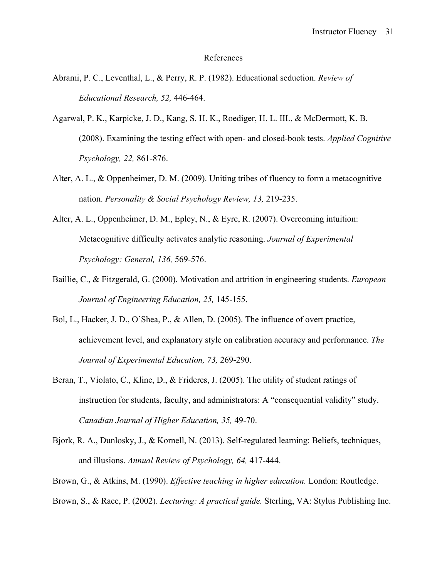#### References

- Abrami, P. C., Leventhal, L., & Perry, R. P. (1982). Educational seduction. *Review of Educational Research, 52,* 446-464.
- Agarwal, P. K., Karpicke, J. D., Kang, S. H. K., Roediger, H. L. III., & McDermott, K. B. (2008). Examining the testing effect with open- and closed-book tests. *Applied Cognitive Psychology, 22,* 861-876.
- Alter, A. L., & Oppenheimer, D. M. (2009). Uniting tribes of fluency to form a metacognitive nation. *Personality & Social Psychology Review, 13,* 219-235.
- Alter, A. L., Oppenheimer, D. M., Epley, N., & Eyre, R. (2007). Overcoming intuition: Metacognitive difficulty activates analytic reasoning. *Journal of Experimental Psychology: General, 136,* 569-576.
- Baillie, C., & Fitzgerald, G. (2000). Motivation and attrition in engineering students. *European Journal of Engineering Education, 25,* 145-155.
- Bol, L., Hacker, J. D., O'Shea, P., & Allen, D. (2005). The influence of overt practice, achievement level, and explanatory style on calibration accuracy and performance. *The Journal of Experimental Education, 73,* 269-290.
- Beran, T., Violato, C., Kline, D., & Frideres, J. (2005). The utility of student ratings of instruction for students, faculty, and administrators: A "consequential validity" study. *Canadian Journal of Higher Education, 35,* 49-70.
- Bjork, R. A., Dunlosky, J., & Kornell, N. (2013). Self-regulated learning: Beliefs, techniques, and illusions. *Annual Review of Psychology, 64,* 417-444.
- Brown, G., & Atkins, M. (1990). *Effective teaching in higher education.* London: Routledge.
- Brown, S., & Race, P. (2002). *Lecturing: A practical guide.* Sterling, VA: Stylus Publishing Inc.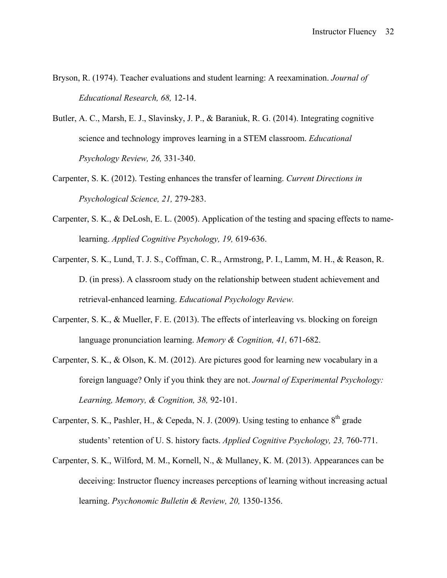- Bryson, R. (1974). Teacher evaluations and student learning: A reexamination. *Journal of Educational Research, 68,* 12-14.
- Butler, A. C., Marsh, E. J., Slavinsky, J. P., & Baraniuk, R. G. (2014). Integrating cognitive science and technology improves learning in a STEM classroom. *Educational Psychology Review, 26,* 331-340.
- Carpenter, S. K. (2012). Testing enhances the transfer of learning. *Current Directions in Psychological Science, 21,* 279-283.
- Carpenter, S. K., & DeLosh, E. L. (2005). Application of the testing and spacing effects to namelearning. *Applied Cognitive Psychology, 19,* 619-636.
- Carpenter, S. K., Lund, T. J. S., Coffman, C. R., Armstrong, P. I., Lamm, M. H., & Reason, R. D. (in press). A classroom study on the relationship between student achievement and retrieval-enhanced learning. *Educational Psychology Review.*
- Carpenter, S. K., & Mueller, F. E. (2013). The effects of interleaving vs. blocking on foreign language pronunciation learning. *Memory & Cognition, 41,* 671-682.
- Carpenter, S. K., & Olson, K. M. (2012). Are pictures good for learning new vocabulary in a foreign language? Only if you think they are not. *Journal of Experimental Psychology: Learning, Memory, & Cognition, 38,* 92-101.
- Carpenter, S. K., Pashler, H., & Cepeda, N. J. (2009). Using testing to enhance  $8<sup>th</sup>$  grade students' retention of U. S. history facts. *Applied Cognitive Psychology, 23,* 760-771.
- Carpenter, S. K., Wilford, M. M., Kornell, N., & Mullaney, K. M. (2013). Appearances can be deceiving: Instructor fluency increases perceptions of learning without increasing actual learning. *Psychonomic Bulletin & Review, 20,* 1350-1356.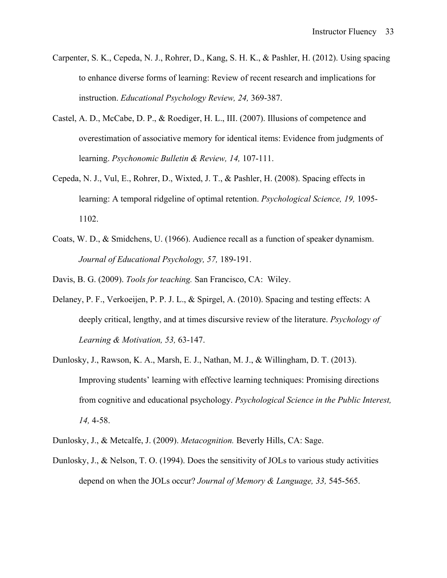- Carpenter, S. K., Cepeda, N. J., Rohrer, D., Kang, S. H. K., & Pashler, H. (2012). Using spacing to enhance diverse forms of learning: Review of recent research and implications for instruction. *Educational Psychology Review, 24,* 369-387.
- Castel, A. D., McCabe, D. P., & Roediger, H. L., III. (2007). Illusions of competence and overestimation of associative memory for identical items: Evidence from judgments of learning. *Psychonomic Bulletin & Review, 14,* 107-111.
- Cepeda, N. J., Vul, E., Rohrer, D., Wixted, J. T., & Pashler, H. (2008). Spacing effects in learning: A temporal ridgeline of optimal retention. *Psychological Science, 19,* 1095- 1102.
- Coats, W. D., & Smidchens, U. (1966). Audience recall as a function of speaker dynamism. *Journal of Educational Psychology, 57,* 189-191.

Davis, B. G. (2009). *Tools for teaching.* San Francisco, CA: Wiley.

- Delaney, P. F., Verkoeijen, P. P. J. L., & Spirgel, A. (2010). Spacing and testing effects: A deeply critical, lengthy, and at times discursive review of the literature. *Psychology of Learning & Motivation, 53,* 63-147.
- Dunlosky, J., Rawson, K. A., Marsh, E. J., Nathan, M. J., & Willingham, D. T. (2013). Improving students' learning with effective learning techniques: Promising directions from cognitive and educational psychology. *Psychological Science in the Public Interest, 14,* 4-58.
- Dunlosky, J., & Metcalfe, J. (2009). *Metacognition.* Beverly Hills, CA: Sage.
- Dunlosky, J., & Nelson, T. O. (1994). Does the sensitivity of JOLs to various study activities depend on when the JOLs occur? *Journal of Memory & Language, 33,* 545-565.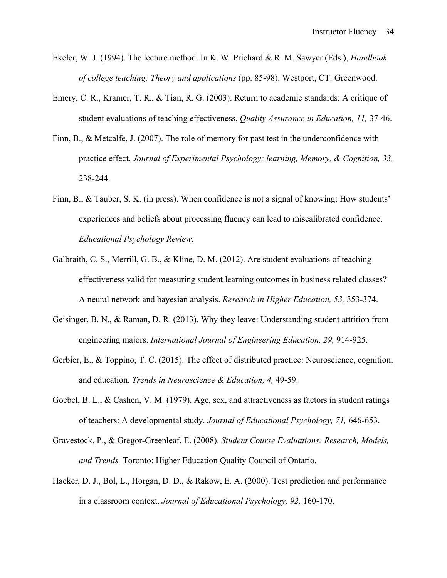- Ekeler, W. J. (1994). The lecture method. In K. W. Prichard & R. M. Sawyer (Eds.), *Handbook of college teaching: Theory and applications* (pp. 85-98). Westport, CT: Greenwood.
- Emery, C. R., Kramer, T. R., & Tian, R. G. (2003). Return to academic standards: A critique of student evaluations of teaching effectiveness. *Quality Assurance in Education, 11,* 37-46.
- Finn, B., & Metcalfe, J. (2007). The role of memory for past test in the underconfidence with practice effect. *Journal of Experimental Psychology: learning, Memory, & Cognition, 33,*  238-244.
- Finn, B., & Tauber, S. K. (in press). When confidence is not a signal of knowing: How students' experiences and beliefs about processing fluency can lead to miscalibrated confidence. *Educational Psychology Review.*
- Galbraith, C. S., Merrill, G. B., & Kline, D. M. (2012). Are student evaluations of teaching effectiveness valid for measuring student learning outcomes in business related classes? A neural network and bayesian analysis. *Research in Higher Education, 53,* 353-374.
- Geisinger, B. N., & Raman, D. R. (2013). Why they leave: Understanding student attrition from engineering majors. *International Journal of Engineering Education, 29,* 914-925.
- Gerbier, E., & Toppino, T. C. (2015). The effect of distributed practice: Neuroscience, cognition, and education. *Trends in Neuroscience & Education, 4,* 49-59.
- Goebel, B. L., & Cashen, V. M. (1979). Age, sex, and attractiveness as factors in student ratings of teachers: A developmental study. *Journal of Educational Psychology, 71,* 646-653.
- Gravestock, P., & Gregor-Greenleaf, E. (2008). *Student Course Evaluations: Research, Models, and Trends.* Toronto: Higher Education Quality Council of Ontario.
- Hacker, D. J., Bol, L., Horgan, D. D., & Rakow, E. A. (2000). Test prediction and performance in a classroom context. *Journal of Educational Psychology, 92,* 160-170.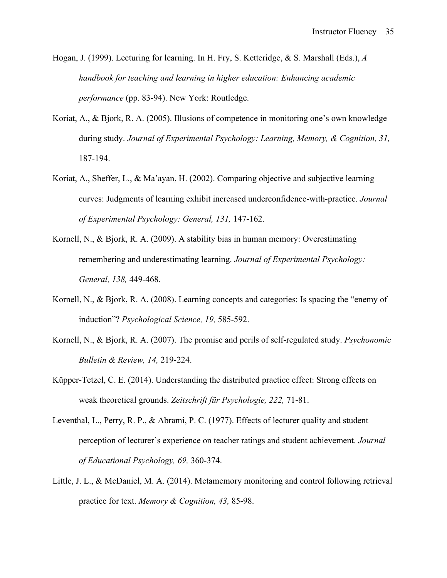- Hogan, J. (1999). Lecturing for learning. In H. Fry, S. Ketteridge, & S. Marshall (Eds.), *A handbook for teaching and learning in higher education: Enhancing academic performance* (pp. 83-94). New York: Routledge.
- Koriat, A., & Bjork, R. A. (2005). Illusions of competence in monitoring one's own knowledge during study. *Journal of Experimental Psychology: Learning, Memory, & Cognition, 31,*  187-194.
- Koriat, A., Sheffer, L., & Ma'ayan, H. (2002). Comparing objective and subjective learning curves: Judgments of learning exhibit increased underconfidence-with-practice. *Journal of Experimental Psychology: General, 131,* 147-162.
- Kornell, N., & Bjork, R. A. (2009). A stability bias in human memory: Overestimating remembering and underestimating learning. *Journal of Experimental Psychology: General, 138,* 449-468.
- Kornell, N., & Bjork, R. A. (2008). Learning concepts and categories: Is spacing the "enemy of induction"? *Psychological Science, 19,* 585-592.
- Kornell, N., & Bjork, R. A. (2007). The promise and perils of self-regulated study. *Psychonomic Bulletin & Review, 14,* 219-224.
- Küpper-Tetzel, C. E. (2014). Understanding the distributed practice effect: Strong effects on weak theoretical grounds. *Zeitschrift für Psychologie, 222,* 71-81.
- Leventhal, L., Perry, R. P., & Abrami, P. C. (1977). Effects of lecturer quality and student perception of lecturer's experience on teacher ratings and student achievement. *Journal of Educational Psychology, 69,* 360-374.
- Little, J. L., & McDaniel, M. A. (2014). Metamemory monitoring and control following retrieval practice for text. *Memory & Cognition, 43,* 85-98.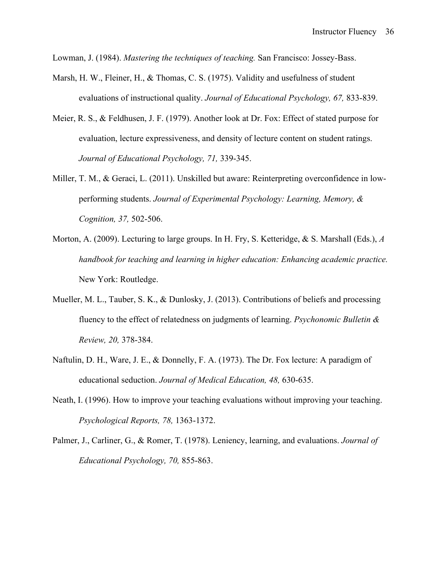Lowman, J. (1984). *Mastering the techniques of teaching.* San Francisco: Jossey-Bass.

- Marsh, H. W., Fleiner, H., & Thomas, C. S. (1975). Validity and usefulness of student evaluations of instructional quality. *Journal of Educational Psychology, 67,* 833-839.
- Meier, R. S., & Feldhusen, J. F. (1979). Another look at Dr. Fox: Effect of stated purpose for evaluation, lecture expressiveness, and density of lecture content on student ratings. *Journal of Educational Psychology, 71,* 339-345.
- Miller, T. M., & Geraci, L. (2011). Unskilled but aware: Reinterpreting overconfidence in lowperforming students. *Journal of Experimental Psychology: Learning, Memory, & Cognition, 37,* 502-506.
- Morton, A. (2009). Lecturing to large groups. In H. Fry, S. Ketteridge, & S. Marshall (Eds.), *A handbook for teaching and learning in higher education: Enhancing academic practice.*  New York: Routledge.
- Mueller, M. L., Tauber, S. K., & Dunlosky, J. (2013). Contributions of beliefs and processing fluency to the effect of relatedness on judgments of learning. *Psychonomic Bulletin & Review, 20,* 378-384.
- Naftulin, D. H., Ware, J. E., & Donnelly, F. A. (1973). The Dr. Fox lecture: A paradigm of educational seduction. *Journal of Medical Education, 48,* 630-635.
- Neath, I. (1996). How to improve your teaching evaluations without improving your teaching. *Psychological Reports, 78,* 1363-1372.
- Palmer, J., Carliner, G., & Romer, T. (1978). Leniency, learning, and evaluations. *Journal of Educational Psychology, 70,* 855-863.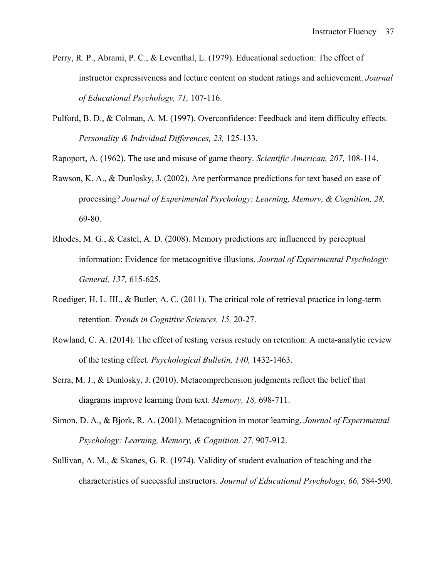- Perry, R. P., Abrami, P. C., & Leventhal, L. (1979). Educational seduction: The effect of instructor expressiveness and lecture content on student ratings and achievement. *Journal of Educational Psychology, 71,* 107-116.
- Pulford, B. D., & Colman, A. M. (1997). Overconfidence: Feedback and item difficulty effects. *Personality & Individual Differences, 23,* 125-133.

Rapoport, A. (1962). The use and misuse of game theory. *Scientific American, 207,* 108-114.

- Rawson, K. A., & Dunlosky, J. (2002). Are performance predictions for text based on ease of processing? *Journal of Experimental Psychology: Learning, Memory, & Cognition, 28,*  69-80.
- Rhodes, M. G., & Castel, A. D. (2008). Memory predictions are influenced by perceptual information: Evidence for metacognitive illusions. *Journal of Experimental Psychology: General, 137,* 615-625.
- Roediger, H. L. III., & Butler, A. C. (2011). The critical role of retrieval practice in long-term retention. *Trends in Cognitive Sciences, 15,* 20-27.
- Rowland, C. A. (2014). The effect of testing versus restudy on retention: A meta-analytic review of the testing effect. *Psychological Bulletin, 140,* 1432-1463.
- Serra, M. J., & Dunlosky, J. (2010). Metacomprehension judgments reflect the belief that diagrams improve learning from text. *Memory, 18,* 698-711.
- Simon, D. A., & Bjork, R. A. (2001). Metacognition in motor learning. *Journal of Experimental Psychology: Learning, Memory, & Cognition, 27,* 907-912.
- Sullivan, A. M., & Skanes, G. R. (1974). Validity of student evaluation of teaching and the characteristics of successful instructors. *Journal of Educational Psychology, 66,* 584-590.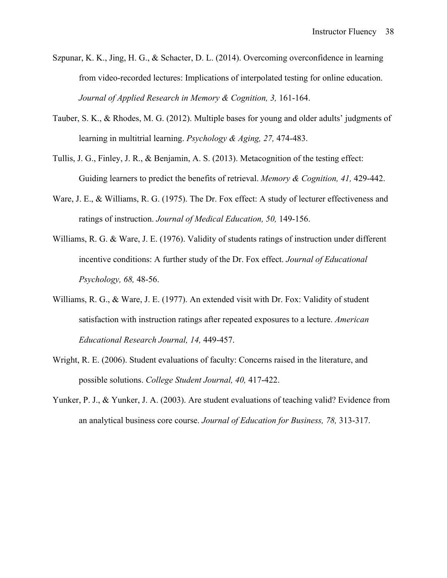- Szpunar, K. K., Jing, H. G., & Schacter, D. L. (2014). Overcoming overconfidence in learning from video-recorded lectures: Implications of interpolated testing for online education. *Journal of Applied Research in Memory & Cognition, 3,* 161-164.
- Tauber, S. K., & Rhodes, M. G. (2012). Multiple bases for young and older adults' judgments of learning in multitrial learning. *Psychology & Aging, 27,* 474-483.
- Tullis, J. G., Finley, J. R., & Benjamin, A. S. (2013). Metacognition of the testing effect: Guiding learners to predict the benefits of retrieval. *Memory & Cognition, 41,* 429-442.
- Ware, J. E., & Williams, R. G. (1975). The Dr. Fox effect: A study of lecturer effectiveness and ratings of instruction. *Journal of Medical Education, 50,* 149-156.
- Williams, R. G. & Ware, J. E. (1976). Validity of students ratings of instruction under different incentive conditions: A further study of the Dr. Fox effect. *Journal of Educational Psychology, 68,* 48-56.
- Williams, R. G., & Ware, J. E. (1977). An extended visit with Dr. Fox: Validity of student satisfaction with instruction ratings after repeated exposures to a lecture. *American Educational Research Journal, 14,* 449-457.
- Wright, R. E. (2006). Student evaluations of faculty: Concerns raised in the literature, and possible solutions. *College Student Journal, 40,* 417-422.
- Yunker, P. J., & Yunker, J. A. (2003). Are student evaluations of teaching valid? Evidence from an analytical business core course. *Journal of Education for Business, 78,* 313-317.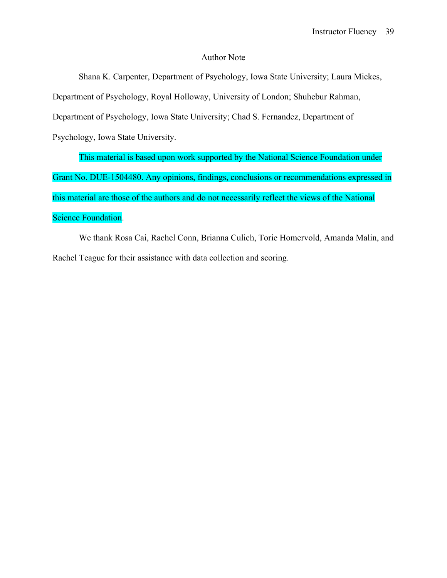#### Author Note

Shana K. Carpenter, Department of Psychology, Iowa State University; Laura Mickes, Department of Psychology, Royal Holloway, University of London; Shuhebur Rahman, Department of Psychology, Iowa State University; Chad S. Fernandez, Department of Psychology, Iowa State University.

This material is based upon work supported by the National Science Foundation under Grant No. DUE-1504480. Any opinions, findings, conclusions or recommendations expressed in this material are those of the authors and do not necessarily reflect the views of the National Science Foundation.

We thank Rosa Cai, Rachel Conn, Brianna Culich, Torie Homervold, Amanda Malin, and Rachel Teague for their assistance with data collection and scoring.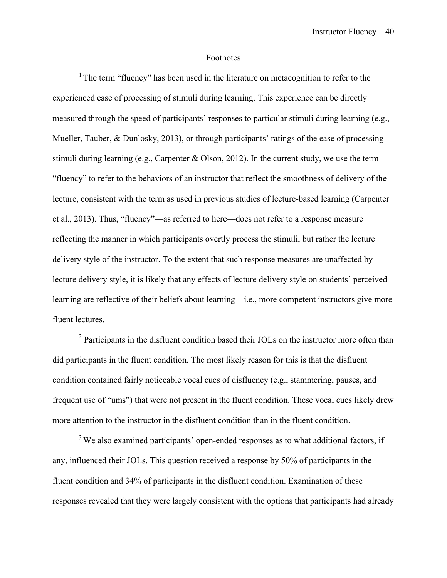#### Footnotes

<sup>1</sup> The term "fluency" has been used in the literature on metacognition to refer to the experienced ease of processing of stimuli during learning. This experience can be directly measured through the speed of participants' responses to particular stimuli during learning (e.g., Mueller, Tauber, & Dunlosky, 2013), or through participants' ratings of the ease of processing stimuli during learning (e.g., Carpenter & Olson, 2012). In the current study, we use the term "fluency" to refer to the behaviors of an instructor that reflect the smoothness of delivery of the lecture, consistent with the term as used in previous studies of lecture-based learning (Carpenter et al., 2013). Thus, "fluency"—as referred to here—does not refer to a response measure reflecting the manner in which participants overtly process the stimuli, but rather the lecture delivery style of the instructor. To the extent that such response measures are unaffected by lecture delivery style, it is likely that any effects of lecture delivery style on students' perceived learning are reflective of their beliefs about learning—i.e., more competent instructors give more fluent lectures.

 $2$  Participants in the disfluent condition based their JOLs on the instructor more often than did participants in the fluent condition. The most likely reason for this is that the disfluent condition contained fairly noticeable vocal cues of disfluency (e.g., stammering, pauses, and frequent use of "ums") that were not present in the fluent condition. These vocal cues likely drew more attention to the instructor in the disfluent condition than in the fluent condition.

<sup>3</sup> We also examined participants' open-ended responses as to what additional factors, if any, influenced their JOLs. This question received a response by 50% of participants in the fluent condition and 34% of participants in the disfluent condition. Examination of these responses revealed that they were largely consistent with the options that participants had already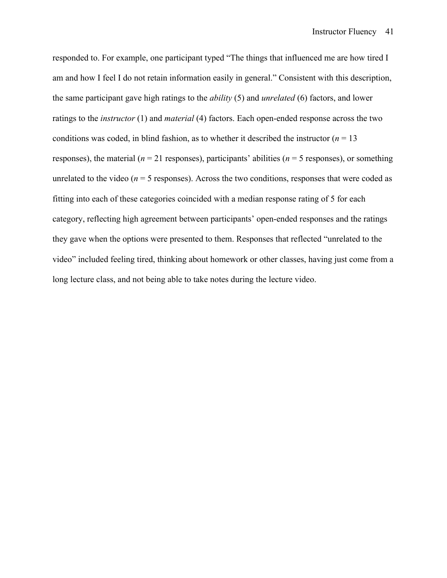responded to. For example, one participant typed "The things that influenced me are how tired I am and how I feel I do not retain information easily in general." Consistent with this description, the same participant gave high ratings to the *ability* (5) and *unrelated* (6) factors, and lower ratings to the *instructor* (1) and *material* (4) factors. Each open-ended response across the two conditions was coded, in blind fashion, as to whether it described the instructor  $(n = 13$ responses), the material ( $n = 21$  responses), participants' abilities ( $n = 5$  responses), or something unrelated to the video ( $n = 5$  responses). Across the two conditions, responses that were coded as fitting into each of these categories coincided with a median response rating of 5 for each category, reflecting high agreement between participants' open-ended responses and the ratings they gave when the options were presented to them. Responses that reflected "unrelated to the video" included feeling tired, thinking about homework or other classes, having just come from a long lecture class, and not being able to take notes during the lecture video.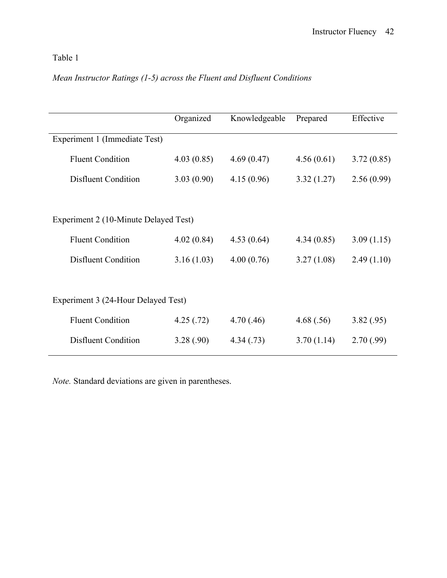# Table 1

# *Mean Instructor Ratings (1-5) across the Fluent and Disfluent Conditions*

|                                     |                                       | Organized  | Knowledgeable | Prepared   | Effective  |  |
|-------------------------------------|---------------------------------------|------------|---------------|------------|------------|--|
| Experiment 1 (Immediate Test)       |                                       |            |               |            |            |  |
|                                     | <b>Fluent Condition</b>               | 4.03(0.85) | 4.69(0.47)    | 4.56(0.61) | 3.72(0.85) |  |
|                                     | <b>Disfluent Condition</b>            | 3.03(0.90) | 4.15(0.96)    | 3.32(1.27) | 2.56(0.99) |  |
|                                     |                                       |            |               |            |            |  |
|                                     | Experiment 2 (10-Minute Delayed Test) |            |               |            |            |  |
|                                     | <b>Fluent Condition</b>               | 4.02(0.84) | 4.53(0.64)    | 4.34(0.85) | 3.09(1.15) |  |
|                                     | <b>Disfluent Condition</b>            | 3.16(1.03) | 4.00(0.76)    | 3.27(1.08) | 2.49(1.10) |  |
|                                     |                                       |            |               |            |            |  |
| Experiment 3 (24-Hour Delayed Test) |                                       |            |               |            |            |  |
|                                     | <b>Fluent Condition</b>               | 4.25(.72)  | 4.70(.46)     | 4.68(.56)  | 3.82(.95)  |  |
|                                     | <b>Disfluent Condition</b>            | 3.28(.90)  | 4.34(0.73)    | 3.70(1.14) | 2.70(.99)  |  |
|                                     |                                       |            |               |            |            |  |

*Note.* Standard deviations are given in parentheses.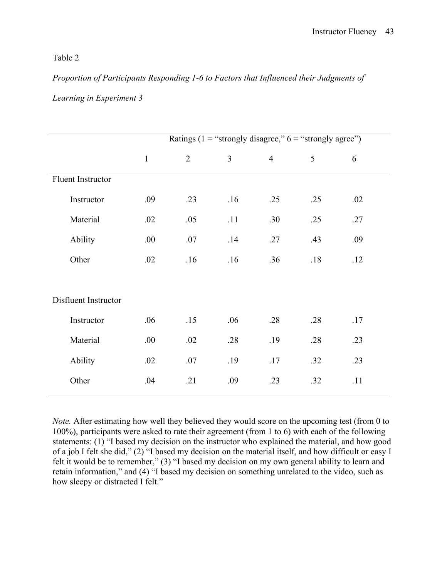## Table 2

# *Proportion of Participants Responding 1-6 to Factors that Influenced their Judgments of Learning in Experiment 3*

|                      |              | Ratings (1 = "strongly disagree," $6$ = "strongly agree") |     |                |     |     |  |  |  |
|----------------------|--------------|-----------------------------------------------------------|-----|----------------|-----|-----|--|--|--|
|                      | $\mathbf{1}$ | $\overline{2}$                                            | 3   | $\overline{4}$ | 5   | 6   |  |  |  |
| Fluent Instructor    |              |                                                           |     |                |     |     |  |  |  |
| Instructor           | .09          | .23                                                       | .16 | .25            | .25 | .02 |  |  |  |
| Material             | .02          | .05                                                       | .11 | .30            | .25 | .27 |  |  |  |
| Ability              | .00.         | .07                                                       | .14 | .27            | .43 | .09 |  |  |  |
| Other                | .02          | .16                                                       | .16 | .36            | .18 | .12 |  |  |  |
|                      |              |                                                           |     |                |     |     |  |  |  |
| Disfluent Instructor |              |                                                           |     |                |     |     |  |  |  |
| Instructor           | .06          | .15                                                       | .06 | .28            | .28 | .17 |  |  |  |
| Material             | .00.         | .02                                                       | .28 | .19            | .28 | .23 |  |  |  |
| Ability              | .02          | .07                                                       | .19 | .17            | .32 | .23 |  |  |  |
| Other                | .04          | .21                                                       | .09 | .23            | .32 | .11 |  |  |  |
|                      |              |                                                           |     |                |     |     |  |  |  |

*Note.* After estimating how well they believed they would score on the upcoming test (from 0 to 100%), participants were asked to rate their agreement (from 1 to 6) with each of the following statements: (1) "I based my decision on the instructor who explained the material, and how good of a job I felt she did," (2) "I based my decision on the material itself, and how difficult or easy I felt it would be to remember," (3) "I based my decision on my own general ability to learn and retain information," and (4) "I based my decision on something unrelated to the video, such as how sleepy or distracted I felt."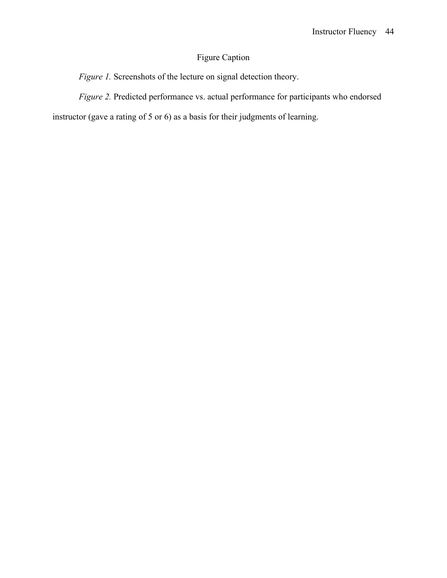# Figure Caption

*Figure 1.* Screenshots of the lecture on signal detection theory.

*Figure 2.* Predicted performance vs. actual performance for participants who endorsed

instructor (gave a rating of 5 or 6) as a basis for their judgments of learning.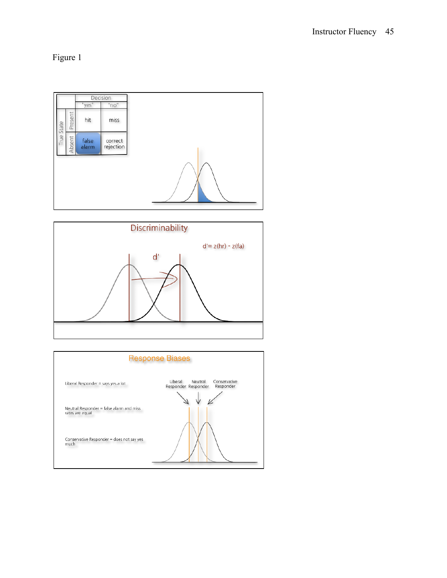Figure 1